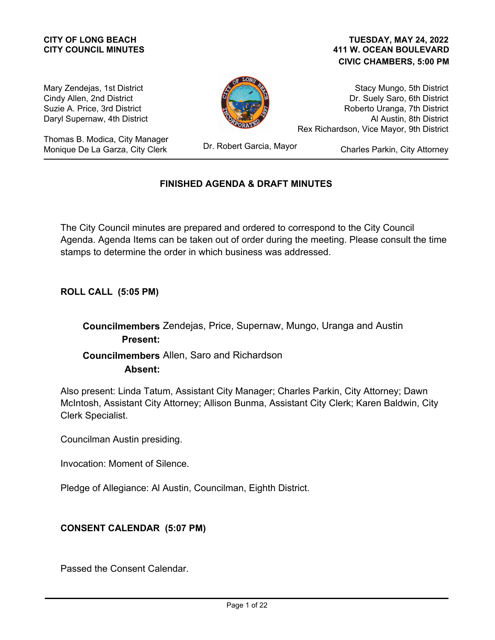# **CITY COUNCIL MINUTES**

#### **411 W. OCEAN BOULEVARD CIVIC CHAMBERS, 5:00 PM CITY OF LONG BEACH TUESDAY, MAY 24, 2022**

Mary Zendejas, 1st District Cindy Allen, 2nd District Suzie A. Price, 3rd District Daryl Supernaw, 4th District

Thomas B. Modica, City Manager Monique De La Garza, City Clerk



Stacy Mungo, 5th District Dr. Suely Saro, 6th District Roberto Uranga, 7th District Al Austin, 8th District Rex Richardson, Vice Mayor, 9th District

Dr. Robert Garcia, Mayor

Charles Parkin, City Attorney

#### **FINISHED AGENDA & DRAFT MINUTES**

The City Council minutes are prepared and ordered to correspond to the City Council Agenda. Agenda Items can be taken out of order during the meeting. Please consult the time stamps to determine the order in which business was addressed.

**ROLL CALL (5:05 PM)**

# **Councilmembers** Zendejas, Price, Supernaw, Mungo, Uranga and Austin **Present: Councilmembers** Allen, Saro and Richardson **Absent:**

Also present: Linda Tatum, Assistant City Manager; Charles Parkin, City Attorney; Dawn McIntosh, Assistant City Attorney; Allison Bunma, Assistant City Clerk; Karen Baldwin, City Clerk Specialist.

Councilman Austin presiding.

Invocation: Moment of Silence.

Pledge of Allegiance: Al Austin, Councilman, Eighth District.

#### **CONSENT CALENDAR (5:07 PM)**

Passed the Consent Calendar.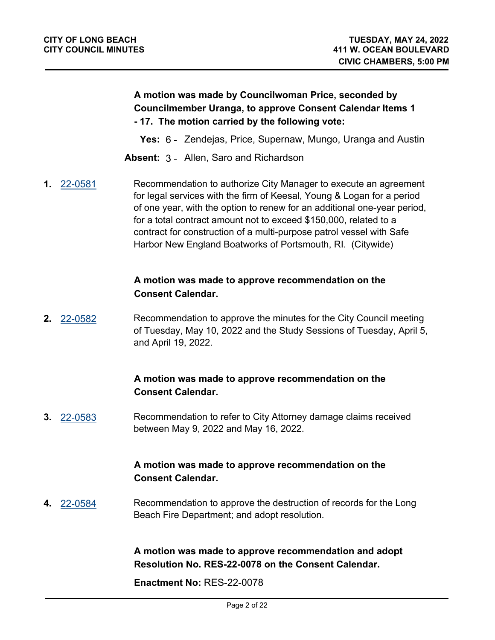#### **A motion was made by Councilwoman Price, seconded by Councilmember Uranga, to approve Consent Calendar Items 1 - 17. The motion carried by the following vote:**

**Yes:** 6 - Zendejas, Price, Supernaw, Mungo, Uranga and Austin

**Absent:** 3 - Allen, Saro and Richardson

**1.** [22-0581](http://longbeach.legistar.com/gateway.aspx?M=L&ID=239649) Recommendation to authorize City Manager to execute an agreement for legal services with the firm of Keesal, Young & Logan for a period of one year, with the option to renew for an additional one-year period, for a total contract amount not to exceed \$150,000, related to a contract for construction of a multi-purpose patrol vessel with Safe Harbor New England Boatworks of Portsmouth, RI. (Citywide)

#### **A motion was made to approve recommendation on the Consent Calendar.**

**2.** [22-0582](http://longbeach.legistar.com/gateway.aspx?M=L&ID=239651) Recommendation to approve the minutes for the City Council meeting of Tuesday, May 10, 2022 and the Study Sessions of Tuesday, April 5, and April 19, 2022.

# **A motion was made to approve recommendation on the Consent Calendar.**

**3.** [22-0583](http://longbeach.legistar.com/gateway.aspx?M=L&ID=239652) Recommendation to refer to City Attorney damage claims received between May 9, 2022 and May 16, 2022.

# **A motion was made to approve recommendation on the Consent Calendar.**

**4.** [22-0584](http://longbeach.legistar.com/gateway.aspx?M=L&ID=239650) Recommendation to approve the destruction of records for the Long Beach Fire Department; and adopt resolution.

> **A motion was made to approve recommendation and adopt Resolution No. RES-22-0078 on the Consent Calendar.**

**Enactment No:** RES-22-0078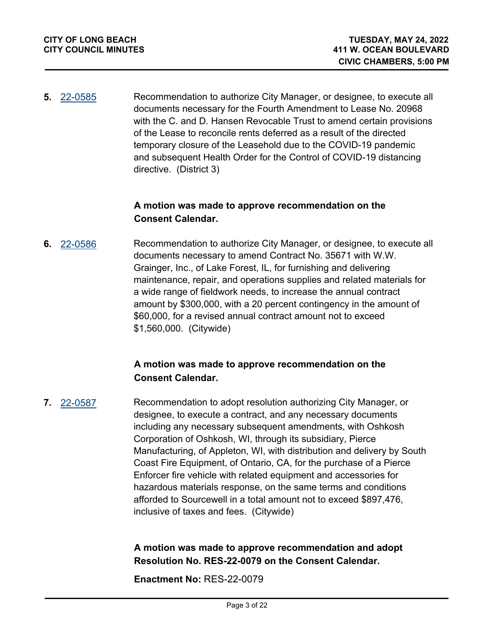**5.** [22-0585](http://longbeach.legistar.com/gateway.aspx?M=L&ID=237270) Recommendation to authorize City Manager, or designee, to execute all documents necessary for the Fourth Amendment to Lease No. 20968 with the C. and D. Hansen Revocable Trust to amend certain provisions of the Lease to reconcile rents deferred as a result of the directed temporary closure of the Leasehold due to the COVID-19 pandemic and subsequent Health Order for the Control of COVID-19 distancing directive. (District 3)

#### **A motion was made to approve recommendation on the Consent Calendar.**

**6.** [22-0586](http://longbeach.legistar.com/gateway.aspx?M=L&ID=239518) Recommendation to authorize City Manager, or designee, to execute all documents necessary to amend Contract No. 35671 with W.W. Grainger, Inc., of Lake Forest, IL, for furnishing and delivering maintenance, repair, and operations supplies and related materials for a wide range of fieldwork needs, to increase the annual contract amount by \$300,000, with a 20 percent contingency in the amount of \$60,000, for a revised annual contract amount not to exceed \$1,560,000. (Citywide)

#### **A motion was made to approve recommendation on the Consent Calendar.**

**7.** [22-0587](http://longbeach.legistar.com/gateway.aspx?M=L&ID=239554) Recommendation to adopt resolution authorizing City Manager, or designee, to execute a contract, and any necessary documents including any necessary subsequent amendments, with Oshkosh Corporation of Oshkosh, WI, through its subsidiary, Pierce Manufacturing, of Appleton, WI, with distribution and delivery by South Coast Fire Equipment, of Ontario, CA, for the purchase of a Pierce Enforcer fire vehicle with related equipment and accessories for hazardous materials response, on the same terms and conditions afforded to Sourcewell in a total amount not to exceed \$897,476, inclusive of taxes and fees. (Citywide)

#### **A motion was made to approve recommendation and adopt Resolution No. RES-22-0079 on the Consent Calendar.**

**Enactment No:** RES-22-0079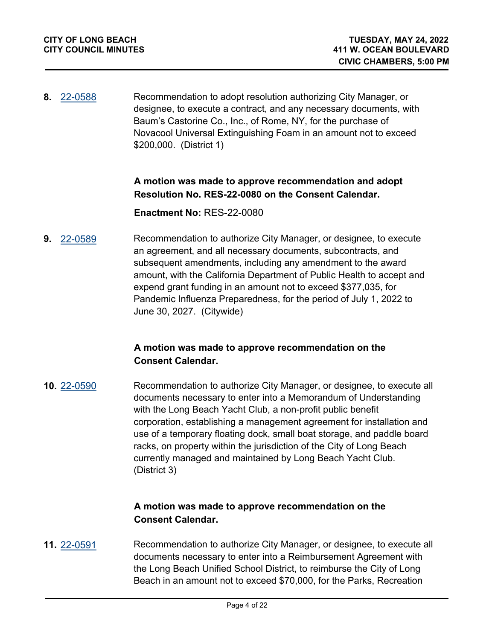**8.** [22-0588](http://longbeach.legistar.com/gateway.aspx?M=L&ID=239527) Recommendation to adopt resolution authorizing City Manager, or designee, to execute a contract, and any necessary documents, with Baum's Castorine Co., Inc., of Rome, NY, for the purchase of Novacool Universal Extinguishing Foam in an amount not to exceed \$200,000. (District 1)

#### **A motion was made to approve recommendation and adopt Resolution No. RES-22-0080 on the Consent Calendar.**

#### **Enactment No:** RES-22-0080

**9.** [22-0589](http://longbeach.legistar.com/gateway.aspx?M=L&ID=239552) Recommendation to authorize City Manager, or designee, to execute an agreement, and all necessary documents, subcontracts, and subsequent amendments, including any amendment to the award amount, with the California Department of Public Health to accept and expend grant funding in an amount not to exceed \$377,035, for Pandemic Influenza Preparedness, for the period of July 1, 2022 to June 30, 2027. (Citywide)

#### **A motion was made to approve recommendation on the Consent Calendar.**

**10.** [22-0590](http://longbeach.legistar.com/gateway.aspx?M=L&ID=239533) Recommendation to authorize City Manager, or designee, to execute all documents necessary to enter into a Memorandum of Understanding with the Long Beach Yacht Club, a non-profit public benefit corporation, establishing a management agreement for installation and use of a temporary floating dock, small boat storage, and paddle board racks, on property within the jurisdiction of the City of Long Beach currently managed and maintained by Long Beach Yacht Club. (District 3)

#### **A motion was made to approve recommendation on the Consent Calendar.**

**11.** [22-0591](http://longbeach.legistar.com/gateway.aspx?M=L&ID=239531) Recommendation to authorize City Manager, or designee, to execute all documents necessary to enter into a Reimbursement Agreement with the Long Beach Unified School District, to reimburse the City of Long Beach in an amount not to exceed \$70,000, for the Parks, Recreation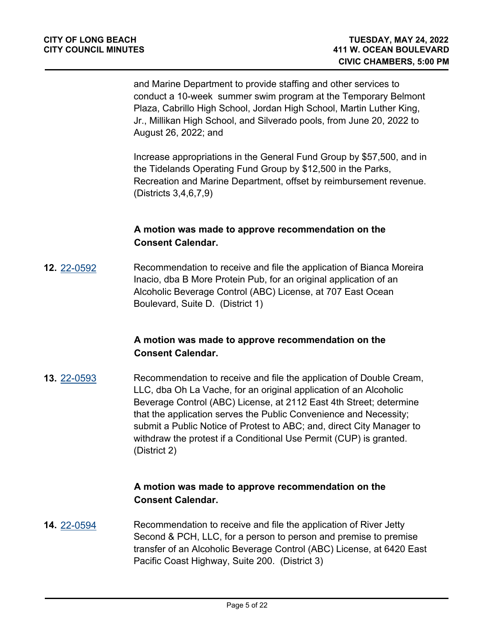and Marine Department to provide staffing and other services to conduct a 10-week summer swim program at the Temporary Belmont Plaza, Cabrillo High School, Jordan High School, Martin Luther King, Jr., Millikan High School, and Silverado pools, from June 20, 2022 to August 26, 2022; and

Increase appropriations in the General Fund Group by \$57,500, and in the Tidelands Operating Fund Group by \$12,500 in the Parks, Recreation and Marine Department, offset by reimbursement revenue. (Districts 3,4,6,7,9)

#### **A motion was made to approve recommendation on the Consent Calendar.**

**12.** [22-0592](http://longbeach.legistar.com/gateway.aspx?M=L&ID=239555) Recommendation to receive and file the application of Bianca Moreira Inacio, dba B More Protein Pub, for an original application of an Alcoholic Beverage Control (ABC) License, at 707 East Ocean Boulevard, Suite D. (District 1)

#### **A motion was made to approve recommendation on the Consent Calendar.**

**13.** [22-0593](http://longbeach.legistar.com/gateway.aspx?M=L&ID=239557) Recommendation to receive and file the application of Double Cream, LLC, dba Oh La Vache, for an original application of an Alcoholic Beverage Control (ABC) License, at 2112 East 4th Street; determine that the application serves the Public Convenience and Necessity; submit a Public Notice of Protest to ABC; and, direct City Manager to withdraw the protest if a Conditional Use Permit (CUP) is granted. (District 2)

# **A motion was made to approve recommendation on the Consent Calendar.**

**14.** [22-0594](http://longbeach.legistar.com/gateway.aspx?M=L&ID=239558) Recommendation to receive and file the application of River Jetty Second & PCH, LLC, for a person to person and premise to premise transfer of an Alcoholic Beverage Control (ABC) License, at 6420 East Pacific Coast Highway, Suite 200. (District 3)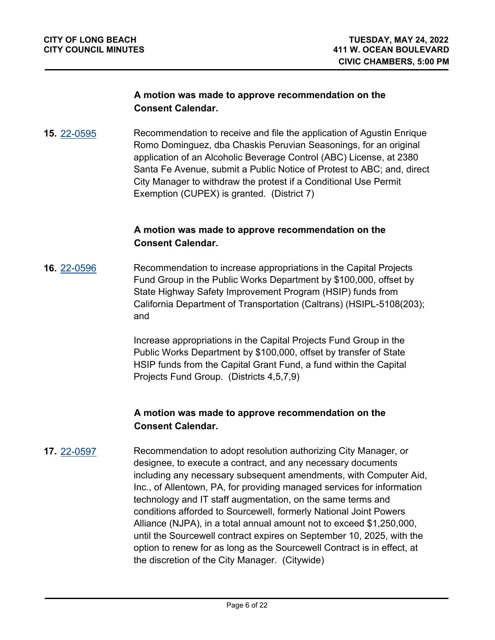#### **A motion was made to approve recommendation on the Consent Calendar.**

**15.** [22-0595](http://longbeach.legistar.com/gateway.aspx?M=L&ID=239559) Recommendation to receive and file the application of Agustin Enrique Romo Dominguez, dba Chaskis Peruvian Seasonings, for an original application of an Alcoholic Beverage Control (ABC) License, at 2380 Santa Fe Avenue, submit a Public Notice of Protest to ABC; and, direct City Manager to withdraw the protest if a Conditional Use Permit Exemption (CUPEX) is granted. (District 7)

#### **A motion was made to approve recommendation on the Consent Calendar.**

**16.** [22-0596](http://longbeach.legistar.com/gateway.aspx?M=L&ID=239607) Recommendation to increase appropriations in the Capital Projects Fund Group in the Public Works Department by \$100,000, offset by State Highway Safety Improvement Program (HSIP) funds from California Department of Transportation (Caltrans) (HSIPL-5108(203); and

> Increase appropriations in the Capital Projects Fund Group in the Public Works Department by \$100,000, offset by transfer of State HSIP funds from the Capital Grant Fund, a fund within the Capital Projects Fund Group. (Districts 4,5,7,9)

#### **A motion was made to approve recommendation on the Consent Calendar.**

**17.** [22-0597](http://longbeach.legistar.com/gateway.aspx?M=L&ID=238652) Recommendation to adopt resolution authorizing City Manager, or designee, to execute a contract, and any necessary documents including any necessary subsequent amendments, with Computer Aid, Inc., of Allentown, PA, for providing managed services for information technology and IT staff augmentation, on the same terms and conditions afforded to Sourcewell, formerly National Joint Powers Alliance (NJPA), in a total annual amount not to exceed \$1,250,000, until the Sourcewell contract expires on September 10, 2025, with the option to renew for as long as the Sourcewell Contract is in effect, at the discretion of the City Manager. (Citywide)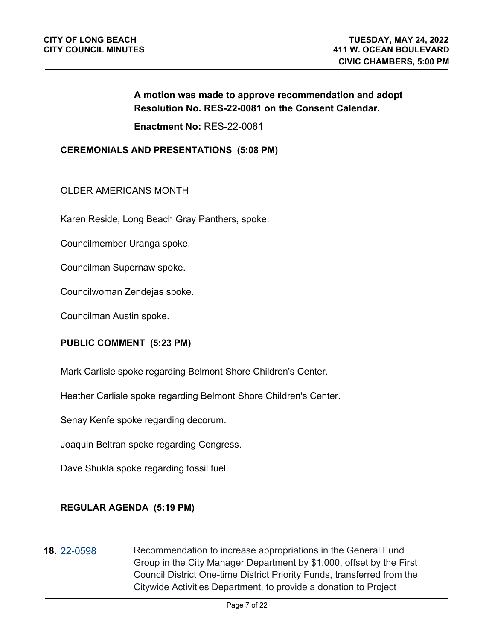#### **A motion was made to approve recommendation and adopt Resolution No. RES-22-0081 on the Consent Calendar.**

**Enactment No:** RES-22-0081

#### **CEREMONIALS AND PRESENTATIONS (5:08 PM)**

#### OLDER AMERICANS MONTH

Karen Reside, Long Beach Gray Panthers, spoke.

Councilmember Uranga spoke.

Councilman Supernaw spoke.

Councilwoman Zendejas spoke.

Councilman Austin spoke.

#### **PUBLIC COMMENT (5:23 PM)**

Mark Carlisle spoke regarding Belmont Shore Children's Center.

Heather Carlisle spoke regarding Belmont Shore Children's Center.

Senay Kenfe spoke regarding decorum.

Joaquin Beltran spoke regarding Congress.

Dave Shukla spoke regarding fossil fuel.

#### **REGULAR AGENDA (5:19 PM)**

**18.** [22-0598](http://longbeach.legistar.com/gateway.aspx?M=L&ID=239653) Recommendation to increase appropriations in the General Fund Group in the City Manager Department by \$1,000, offset by the First Council District One-time District Priority Funds, transferred from the Citywide Activities Department, to provide a donation to Project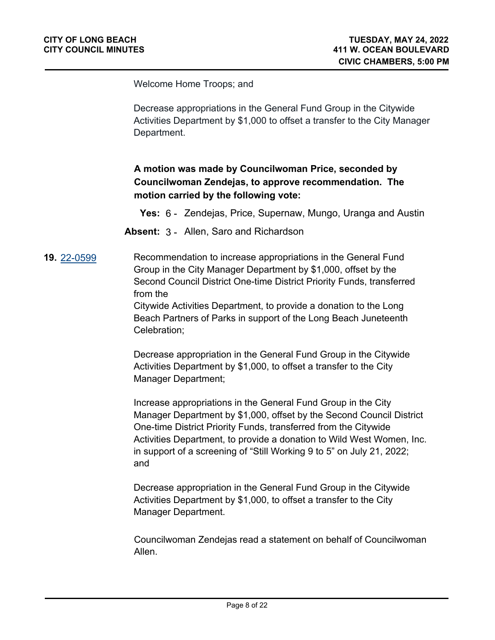Welcome Home Troops; and

Decrease appropriations in the General Fund Group in the Citywide Activities Department by \$1,000 to offset a transfer to the City Manager Department.

# **A motion was made by Councilwoman Price, seconded by Councilwoman Zendejas, to approve recommendation. The motion carried by the following vote:**

**Yes:** 6 - Zendejas, Price, Supernaw, Mungo, Uranga and Austin

**Absent:** 3 - Allen, Saro and Richardson

**19.** [22-0599](http://longbeach.legistar.com/gateway.aspx?M=L&ID=239654) Recommendation to increase appropriations in the General Fund Group in the City Manager Department by \$1,000, offset by the Second Council District One-time District Priority Funds, transferred from the

> Citywide Activities Department, to provide a donation to the Long Beach Partners of Parks in support of the Long Beach Juneteenth Celebration;

Decrease appropriation in the General Fund Group in the Citywide Activities Department by \$1,000, to offset a transfer to the City Manager Department;

Increase appropriations in the General Fund Group in the City Manager Department by \$1,000, offset by the Second Council District One-time District Priority Funds, transferred from the Citywide Activities Department, to provide a donation to Wild West Women, Inc. in support of a screening of "Still Working 9 to 5" on July 21, 2022; and

Decrease appropriation in the General Fund Group in the Citywide Activities Department by \$1,000, to offset a transfer to the City Manager Department.

Councilwoman Zendejas read a statement on behalf of Councilwoman Allen.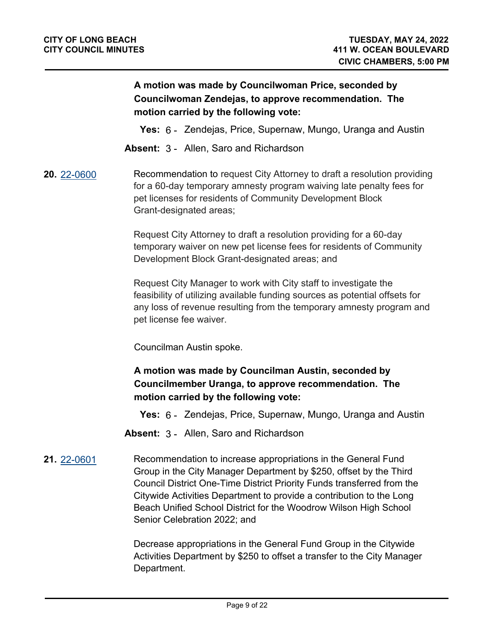# **A motion was made by Councilwoman Price, seconded by Councilwoman Zendejas, to approve recommendation. The motion carried by the following vote:**

- **Yes:** 6 Zendejas, Price, Supernaw, Mungo, Uranga and Austin
- **Absent:** 3 Allen, Saro and Richardson

**20.** [22-0600](http://longbeach.legistar.com/gateway.aspx?M=L&ID=239655) Recommendation to request City Attorney to draft a resolution providing for a 60-day temporary amnesty program waiving late penalty fees for pet licenses for residents of Community Development Block Grant-designated areas;

> Request City Attorney to draft a resolution providing for a 60-day temporary waiver on new pet license fees for residents of Community Development Block Grant-designated areas; and

Request City Manager to work with City staff to investigate the feasibility of utilizing available funding sources as potential offsets for any loss of revenue resulting from the temporary amnesty program and pet license fee waiver.

Councilman Austin spoke.

# **A motion was made by Councilman Austin, seconded by Councilmember Uranga, to approve recommendation. The motion carried by the following vote:**

**Yes:** 6 - Zendejas, Price, Supernaw, Mungo, Uranga and Austin

- **Absent:** 3 Allen, Saro and Richardson
- **21.** [22-0601](http://longbeach.legistar.com/gateway.aspx?M=L&ID=239660) Recommendation to increase appropriations in the General Fund Group in the City Manager Department by \$250, offset by the Third Council District One-Time District Priority Funds transferred from the Citywide Activities Department to provide a contribution to the Long Beach Unified School District for the Woodrow Wilson High School Senior Celebration 2022; and

Decrease appropriations in the General Fund Group in the Citywide Activities Department by \$250 to offset a transfer to the City Manager Department.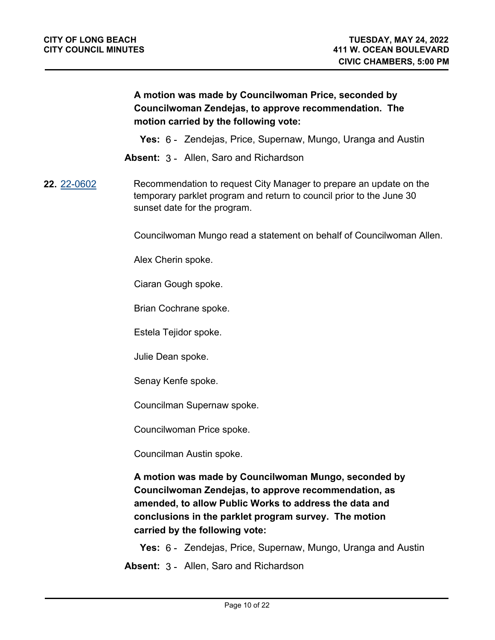# **A motion was made by Councilwoman Price, seconded by Councilwoman Zendejas, to approve recommendation. The motion carried by the following vote:**

**Yes:** 6 - Zendejas, Price, Supernaw, Mungo, Uranga and Austin

**Absent:** 3 - Allen, Saro and Richardson

#### **22.** [22-0602](http://longbeach.legistar.com/gateway.aspx?M=L&ID=239665) Recommendation to request City Manager to prepare an update on the temporary parklet program and return to council prior to the June 30 sunset date for the program.

Councilwoman Mungo read a statement on behalf of Councilwoman Allen.

Alex Cherin spoke.

Ciaran Gough spoke.

Brian Cochrane spoke.

Estela Tejidor spoke.

Julie Dean spoke.

Senay Kenfe spoke.

Councilman Supernaw spoke.

Councilwoman Price spoke.

Councilman Austin spoke.

**A motion was made by Councilwoman Mungo, seconded by Councilwoman Zendejas, to approve recommendation, as amended, to allow Public Works to address the data and conclusions in the parklet program survey. The motion carried by the following vote:**

**Yes:** 6 - Zendejas, Price, Supernaw, Mungo, Uranga and Austin

**Absent:** 3 - Allen, Saro and Richardson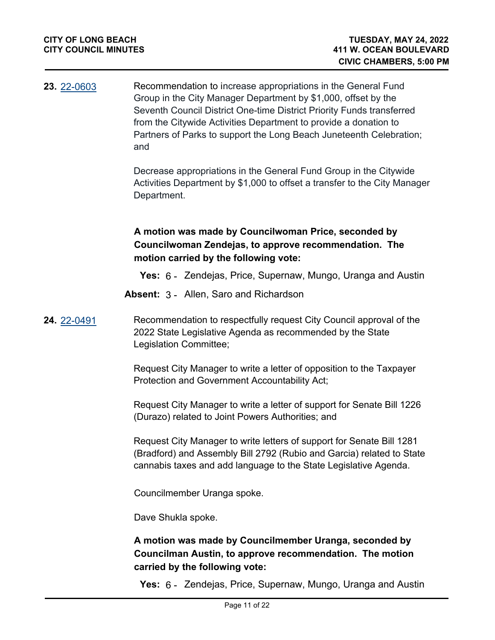| 23. 22-0603 | Recommendation to increase appropriations in the General Fund<br>Group in the City Manager Department by \$1,000, offset by the<br>Seventh Council District One-time District Priority Funds transferred<br>from the Citywide Activities Department to provide a donation to<br>Partners of Parks to support the Long Beach Juneteenth Celebration;<br>and |
|-------------|------------------------------------------------------------------------------------------------------------------------------------------------------------------------------------------------------------------------------------------------------------------------------------------------------------------------------------------------------------|
|             | Decrease appropriations in the General Fund Group in the Citywide<br>Activities Department by \$1,000 to offset a transfer to the City Manager<br>Department.                                                                                                                                                                                              |
|             | A motion was made by Councilwoman Price, seconded by<br>Councilwoman Zendejas, to approve recommendation. The<br>motion carried by the following vote:                                                                                                                                                                                                     |
|             | <b>Yes:</b> 6 - Zendejas, Price, Supernaw, Mungo, Uranga and Austin                                                                                                                                                                                                                                                                                        |
|             | <b>Absent: 3 - Allen, Saro and Richardson</b>                                                                                                                                                                                                                                                                                                              |
| 24. 22-0491 | Recommendation to respectfully request City Council approval of the<br>2022 State Legislative Agenda as recommended by the State<br>Legislation Committee;                                                                                                                                                                                                 |
|             | Request City Manager to write a letter of opposition to the Taxpayer<br>Protection and Government Accountability Act;                                                                                                                                                                                                                                      |
|             | Request City Manager to write a letter of support for Senate Bill 1226<br>(Durazo) related to Joint Powers Authorities; and                                                                                                                                                                                                                                |
|             | Request City Manager to write letters of support for Senate Bill 1281<br>(Bradford) and Assembly Bill 2792 (Rubio and Garcia) related to State<br>cannabis taxes and add language to the State Legislative Agenda.                                                                                                                                         |
|             | Councilmember Uranga spoke.                                                                                                                                                                                                                                                                                                                                |
|             | Dave Shukla spoke.                                                                                                                                                                                                                                                                                                                                         |
|             | A motion was made by Councilmember Uranga, seconded by<br>Councilman Austin, to approve recommendation. The motion<br>carried by the following vote:                                                                                                                                                                                                       |

**Yes:** 6 - Zendejas, Price, Supernaw, Mungo, Uranga and Austin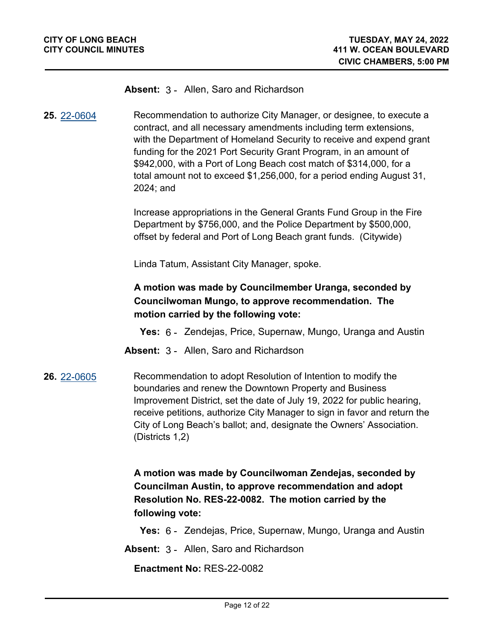#### **Absent:** 3 - Allen, Saro and Richardson

**25.** [22-0604](http://longbeach.legistar.com/gateway.aspx?M=L&ID=239415) Recommendation to authorize City Manager, or designee, to execute a contract, and all necessary amendments including term extensions, with the Department of Homeland Security to receive and expend grant funding for the 2021 Port Security Grant Program, in an amount of \$942,000, with a Port of Long Beach cost match of \$314,000, for a total amount not to exceed \$1,256,000, for a period ending August 31, 2024; and

> Increase appropriations in the General Grants Fund Group in the Fire Department by \$756,000, and the Police Department by \$500,000, offset by federal and Port of Long Beach grant funds. (Citywide)

Linda Tatum, Assistant City Manager, spoke.

# **A motion was made by Councilmember Uranga, seconded by Councilwoman Mungo, to approve recommendation. The motion carried by the following vote:**

- **Yes:** 6 Zendejas, Price, Supernaw, Mungo, Uranga and Austin
- **Absent:** 3 Allen, Saro and Richardson
- **26.** [22-0605](http://longbeach.legistar.com/gateway.aspx?M=L&ID=239505) Recommendation to adopt Resolution of Intention to modify the boundaries and renew the Downtown Property and Business Improvement District, set the date of July 19, 2022 for public hearing, receive petitions, authorize City Manager to sign in favor and return the City of Long Beach's ballot; and, designate the Owners' Association. (Districts 1,2)

**A motion was made by Councilwoman Zendejas, seconded by Councilman Austin, to approve recommendation and adopt Resolution No. RES-22-0082. The motion carried by the following vote:**

**Yes:** 6 - Zendejas, Price, Supernaw, Mungo, Uranga and Austin

**Absent:** 3 - Allen, Saro and Richardson

**Enactment No:** RES-22-0082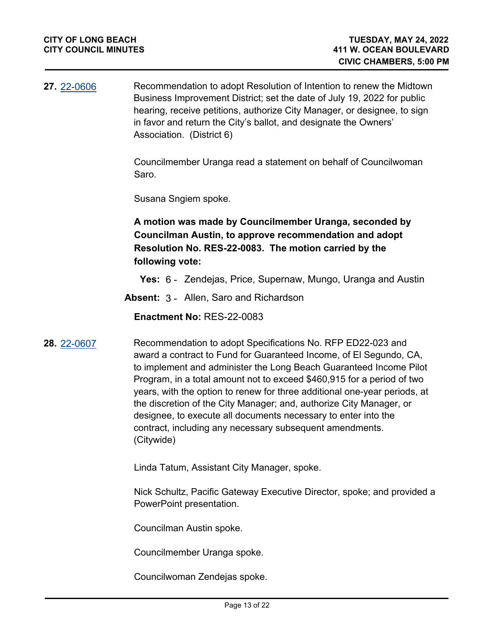**27.** [22-0606](http://longbeach.legistar.com/gateway.aspx?M=L&ID=239510) Recommendation to adopt Resolution of Intention to renew the Midtown Business Improvement District; set the date of July 19, 2022 for public hearing, receive petitions, authorize City Manager, or designee, to sign in favor and return the City's ballot, and designate the Owners' Association. (District 6)

> Councilmember Uranga read a statement on behalf of Councilwoman Saro.

Susana Sngiem spoke.

**A motion was made by Councilmember Uranga, seconded by Councilman Austin, to approve recommendation and adopt Resolution No. RES-22-0083. The motion carried by the following vote:**

**Yes:** 6 - Zendejas, Price, Supernaw, Mungo, Uranga and Austin

**Absent:** 3 - Allen, Saro and Richardson

**Enactment No:** RES-22-0083

**28.** [22-0607](http://longbeach.legistar.com/gateway.aspx?M=L&ID=239516) Recommendation to adopt Specifications No. RFP ED22-023 and award a contract to Fund for Guaranteed Income, of El Segundo, CA, to implement and administer the Long Beach Guaranteed Income Pilot Program, in a total amount not to exceed \$460,915 for a period of two years, with the option to renew for three additional one-year periods, at the discretion of the City Manager; and, authorize City Manager, or designee, to execute all documents necessary to enter into the contract, including any necessary subsequent amendments. (Citywide)

Linda Tatum, Assistant City Manager, spoke.

Nick Schultz, Pacific Gateway Executive Director, spoke; and provided a PowerPoint presentation.

Councilman Austin spoke.

Councilmember Uranga spoke.

Councilwoman Zendejas spoke.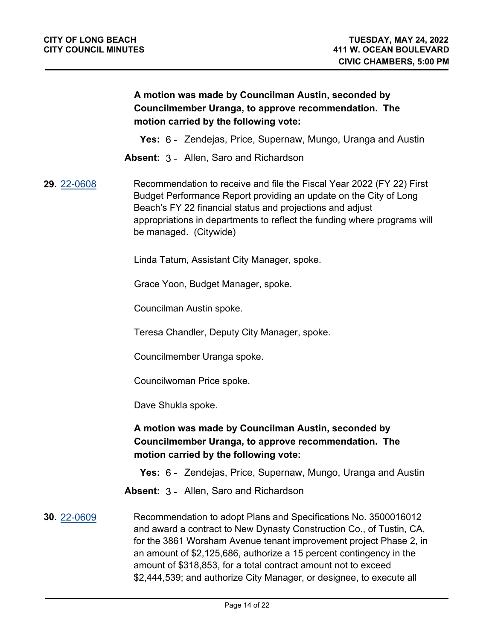# **A motion was made by Councilman Austin, seconded by Councilmember Uranga, to approve recommendation. The motion carried by the following vote:**

**Yes:** 6 - Zendejas, Price, Supernaw, Mungo, Uranga and Austin

**Absent:** 3 - Allen, Saro and Richardson

#### **29.** [22-0608](http://longbeach.legistar.com/gateway.aspx?M=L&ID=239517) Recommendation to receive and file the Fiscal Year 2022 (FY 22) First Budget Performance Report providing an update on the City of Long Beach's FY 22 financial status and projections and adjust appropriations in departments to reflect the funding where programs will be managed. (Citywide)

Linda Tatum, Assistant City Manager, spoke.

Grace Yoon, Budget Manager, spoke.

Councilman Austin spoke.

Teresa Chandler, Deputy City Manager, spoke.

Councilmember Uranga spoke.

Councilwoman Price spoke.

Dave Shukla spoke.

# **A motion was made by Councilman Austin, seconded by Councilmember Uranga, to approve recommendation. The motion carried by the following vote:**

**Yes:** 6 - Zendejas, Price, Supernaw, Mungo, Uranga and Austin

**Absent:** 3 - Allen, Saro and Richardson

**30.** [22-0609](http://longbeach.legistar.com/gateway.aspx?M=L&ID=239551) Recommendation to adopt Plans and Specifications No. 3500016012 and award a contract to New Dynasty Construction Co., of Tustin, CA, for the 3861 Worsham Avenue tenant improvement project Phase 2, in an amount of \$2,125,686, authorize a 15 percent contingency in the amount of \$318,853, for a total contract amount not to exceed \$2,444,539; and authorize City Manager, or designee, to execute all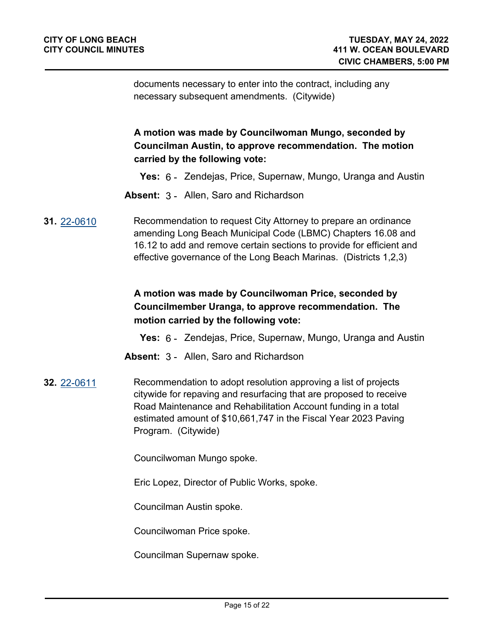documents necessary to enter into the contract, including any necessary subsequent amendments. (Citywide)

**A motion was made by Councilwoman Mungo, seconded by Councilman Austin, to approve recommendation. The motion carried by the following vote:**

**Yes:** 6 - Zendejas, Price, Supernaw, Mungo, Uranga and Austin

- **Absent:** 3 Allen, Saro and Richardson
- **31.** [22-0610](http://longbeach.legistar.com/gateway.aspx?M=L&ID=239532) Recommendation to request City Attorney to prepare an ordinance amending Long Beach Municipal Code (LBMC) Chapters 16.08 and 16.12 to add and remove certain sections to provide for efficient and effective governance of the Long Beach Marinas. (Districts 1,2,3)

# **A motion was made by Councilwoman Price, seconded by Councilmember Uranga, to approve recommendation. The motion carried by the following vote:**

**Yes:** 6 - Zendejas, Price, Supernaw, Mungo, Uranga and Austin

- **Absent:** 3 Allen, Saro and Richardson
- **32.** [22-0611](http://longbeach.legistar.com/gateway.aspx?M=L&ID=239560) Recommendation to adopt resolution approving a list of projects citywide for repaving and resurfacing that are proposed to receive Road Maintenance and Rehabilitation Account funding in a total estimated amount of \$10,661,747 in the Fiscal Year 2023 Paving Program. (Citywide)

Councilwoman Mungo spoke.

Eric Lopez, Director of Public Works, spoke.

Councilman Austin spoke.

Councilwoman Price spoke.

Councilman Supernaw spoke.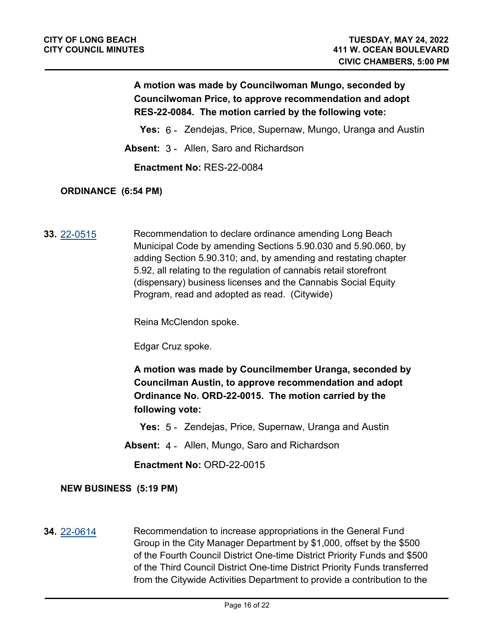# **A motion was made by Councilwoman Mungo, seconded by Councilwoman Price, to approve recommendation and adopt RES-22-0084. The motion carried by the following vote:**

**Yes:** 6 - Zendejas, Price, Supernaw, Mungo, Uranga and Austin

**Absent:** 3 - Allen, Saro and Richardson

**Enactment No:** RES-22-0084

#### **ORDINANCE (6:54 PM)**

**33.** [22-0515](http://longbeach.legistar.com/gateway.aspx?M=L&ID=239457) Recommendation to declare ordinance amending Long Beach Municipal Code by amending Sections 5.90.030 and 5.90.060, by adding Section 5.90.310; and, by amending and restating chapter 5.92, all relating to the regulation of cannabis retail storefront (dispensary) business licenses and the Cannabis Social Equity Program, read and adopted as read. (Citywide)

Reina McClendon spoke.

Edgar Cruz spoke.

**A motion was made by Councilmember Uranga, seconded by Councilman Austin, to approve recommendation and adopt Ordinance No. ORD-22-0015. The motion carried by the following vote:**

**Yes:** 5 - Zendejas, Price, Supernaw, Uranga and Austin

**Absent:** 4 - Allen, Mungo, Saro and Richardson

**Enactment No:** ORD-22-0015

#### **NEW BUSINESS (5:19 PM)**

**34.** [22-0614](http://longbeach.legistar.com/gateway.aspx?M=L&ID=239691) Recommendation to increase appropriations in the General Fund Group in the City Manager Department by \$1,000, offset by the \$500 of the Fourth Council District One-time District Priority Funds and \$500 of the Third Council District One-time District Priority Funds transferred from the Citywide Activities Department to provide a contribution to the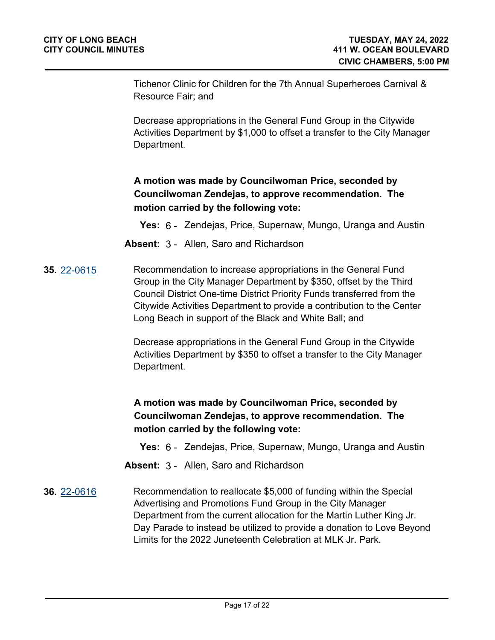Tichenor Clinic for Children for the 7th Annual Superheroes Carnival & Resource Fair; and

Decrease appropriations in the General Fund Group in the Citywide Activities Department by \$1,000 to offset a transfer to the City Manager Department.

# **A motion was made by Councilwoman Price, seconded by Councilwoman Zendejas, to approve recommendation. The motion carried by the following vote:**

- **Yes:** 6 Zendejas, Price, Supernaw, Mungo, Uranga and Austin
- **Absent:** 3 Allen, Saro and Richardson
- **35.** [22-0615](http://longbeach.legistar.com/gateway.aspx?M=L&ID=239690) Recommendation to increase appropriations in the General Fund Group in the City Manager Department by \$350, offset by the Third Council District One-time District Priority Funds transferred from the Citywide Activities Department to provide a contribution to the Center Long Beach in support of the Black and White Ball; and

Decrease appropriations in the General Fund Group in the Citywide Activities Department by \$350 to offset a transfer to the City Manager Department.

# **A motion was made by Councilwoman Price, seconded by Councilwoman Zendejas, to approve recommendation. The motion carried by the following vote:**

- **Yes:** 6 Zendejas, Price, Supernaw, Mungo, Uranga and Austin
- **Absent:** 3 Allen, Saro and Richardson
- **36.** [22-0616](http://longbeach.legistar.com/gateway.aspx?M=L&ID=239696) Recommendation to reallocate \$5,000 of funding within the Special Advertising and Promotions Fund Group in the City Manager Department from the current allocation for the Martin Luther King Jr. Day Parade to instead be utilized to provide a donation to Love Beyond Limits for the 2022 Juneteenth Celebration at MLK Jr. Park.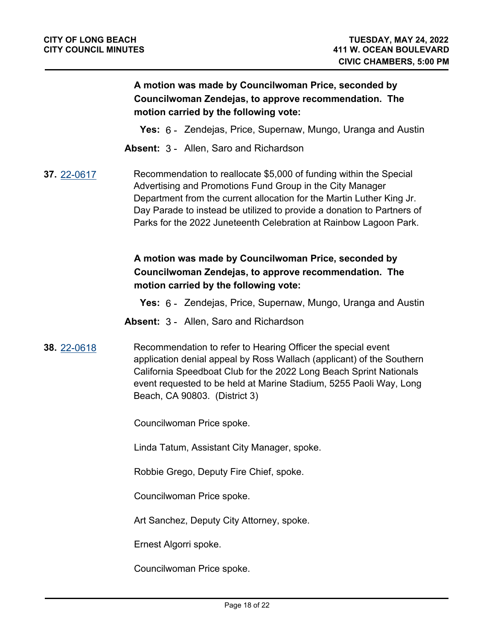# **A motion was made by Councilwoman Price, seconded by Councilwoman Zendejas, to approve recommendation. The motion carried by the following vote:**

- **Yes:** 6 Zendejas, Price, Supernaw, Mungo, Uranga and Austin
- **Absent:** 3 Allen, Saro and Richardson
- **37.** [22-0617](http://longbeach.legistar.com/gateway.aspx?M=L&ID=239697) Recommendation to reallocate \$5,000 of funding within the Special Advertising and Promotions Fund Group in the City Manager Department from the current allocation for the Martin Luther King Jr. Day Parade to instead be utilized to provide a donation to Partners of Parks for the 2022 Juneteenth Celebration at Rainbow Lagoon Park.

# **A motion was made by Councilwoman Price, seconded by Councilwoman Zendejas, to approve recommendation. The motion carried by the following vote:**

- **Yes:** 6 Zendejas, Price, Supernaw, Mungo, Uranga and Austin
- **Absent:** 3 Allen, Saro and Richardson
- **38.** [22-0618](http://longbeach.legistar.com/gateway.aspx?M=L&ID=239692) Recommendation to refer to Hearing Officer the special event application denial appeal by Ross Wallach (applicant) of the Southern California Speedboat Club for the 2022 Long Beach Sprint Nationals event requested to be held at Marine Stadium, 5255 Paoli Way, Long Beach, CA 90803. (District 3)

Councilwoman Price spoke.

Linda Tatum, Assistant City Manager, spoke.

Robbie Grego, Deputy Fire Chief, spoke.

Councilwoman Price spoke.

Art Sanchez, Deputy City Attorney, spoke.

Ernest Algorri spoke.

Councilwoman Price spoke.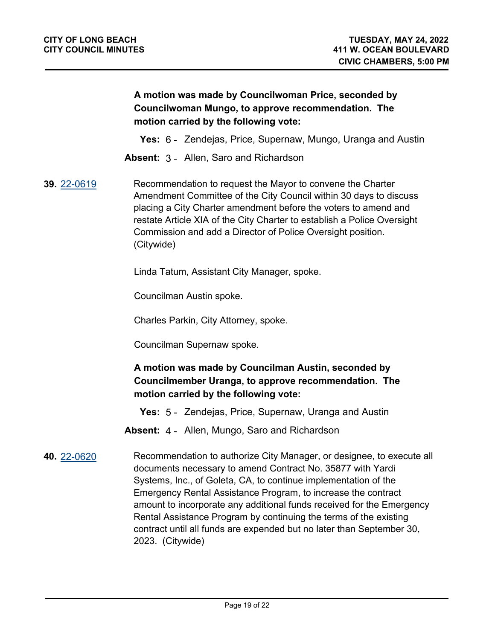# **A motion was made by Councilwoman Price, seconded by Councilwoman Mungo, to approve recommendation. The motion carried by the following vote:**

**Yes:** 6 - Zendejas, Price, Supernaw, Mungo, Uranga and Austin

**Absent:** 3 - Allen, Saro and Richardson

**39.** [22-0619](http://longbeach.legistar.com/gateway.aspx?M=L&ID=239693) Recommendation to request the Mayor to convene the Charter Amendment Committee of the City Council within 30 days to discuss placing a City Charter amendment before the voters to amend and restate Article XIA of the City Charter to establish a Police Oversight Commission and add a Director of Police Oversight position. (Citywide)

Linda Tatum, Assistant City Manager, spoke.

Councilman Austin spoke.

Charles Parkin, City Attorney, spoke.

Councilman Supernaw spoke.

# **A motion was made by Councilman Austin, seconded by Councilmember Uranga, to approve recommendation. The motion carried by the following vote:**

**Yes:** 5 - Zendejas, Price, Supernaw, Uranga and Austin

**Absent:** 4 - Allen, Mungo, Saro and Richardson

**40.** [22-0620](http://longbeach.legistar.com/gateway.aspx?M=L&ID=239695) Recommendation to authorize City Manager, or designee, to execute all documents necessary to amend Contract No. 35877 with Yardi Systems, Inc., of Goleta, CA, to continue implementation of the Emergency Rental Assistance Program, to increase the contract amount to incorporate any additional funds received for the Emergency Rental Assistance Program by continuing the terms of the existing contract until all funds are expended but no later than September 30, 2023. (Citywide)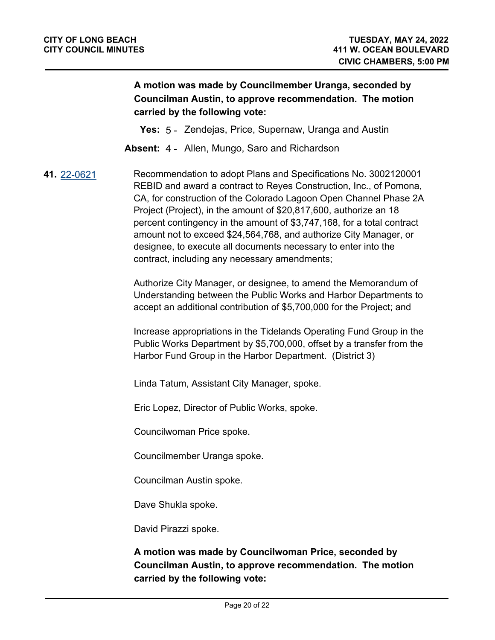# **A motion was made by Councilmember Uranga, seconded by Councilman Austin, to approve recommendation. The motion carried by the following vote:**

**Yes:** 5 - Zendejas, Price, Supernaw, Uranga and Austin

**Absent:** 4 - Allen, Mungo, Saro and Richardson

**41.** [22-0621](http://longbeach.legistar.com/gateway.aspx?M=L&ID=239694) Recommendation to adopt Plans and Specifications No. 3002120001 REBID and award a contract to Reyes Construction, Inc., of Pomona, CA, for construction of the Colorado Lagoon Open Channel Phase 2A Project (Project), in the amount of \$20,817,600, authorize an 18 percent contingency in the amount of \$3,747,168, for a total contract amount not to exceed \$24,564,768, and authorize City Manager, or designee, to execute all documents necessary to enter into the contract, including any necessary amendments;

> Authorize City Manager, or designee, to amend the Memorandum of Understanding between the Public Works and Harbor Departments to accept an additional contribution of \$5,700,000 for the Project; and

> Increase appropriations in the Tidelands Operating Fund Group in the Public Works Department by \$5,700,000, offset by a transfer from the Harbor Fund Group in the Harbor Department. (District 3)

Linda Tatum, Assistant City Manager, spoke.

Eric Lopez, Director of Public Works, spoke.

Councilwoman Price spoke.

Councilmember Uranga spoke.

Councilman Austin spoke.

Dave Shukla spoke.

David Pirazzi spoke.

**A motion was made by Councilwoman Price, seconded by Councilman Austin, to approve recommendation. The motion carried by the following vote:**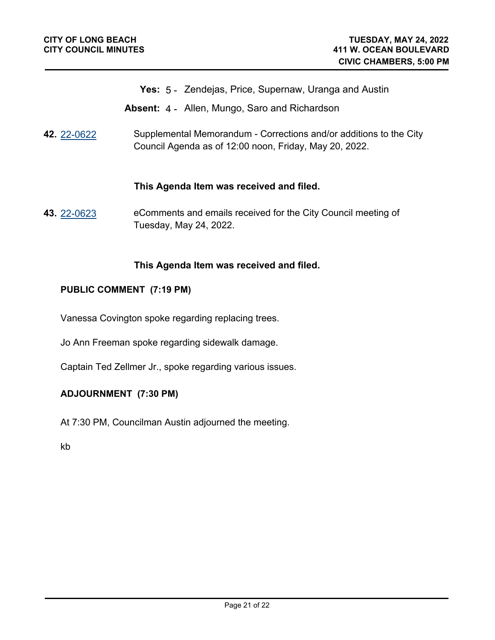- **Yes:** 5 Zendejas, Price, Supernaw, Uranga and Austin
- **Absent:** 4 Allen, Mungo, Saro and Richardson
- **42.** [22-0622](http://longbeach.legistar.com/gateway.aspx?M=L&ID=239772) Supplemental Memorandum Corrections and/or additions to the City Council Agenda as of 12:00 noon, Friday, May 20, 2022.

#### **This Agenda Item was received and filed.**

**43.** [22-0623](http://longbeach.legistar.com/gateway.aspx?M=L&ID=239773) eComments and emails received for the City Council meeting of Tuesday, May 24, 2022.

#### **This Agenda Item was received and filed.**

#### **PUBLIC COMMENT (7:19 PM)**

Vanessa Covington spoke regarding replacing trees.

Jo Ann Freeman spoke regarding sidewalk damage.

Captain Ted Zellmer Jr., spoke regarding various issues.

#### **ADJOURNMENT (7:30 PM)**

At 7:30 PM, Councilman Austin adjourned the meeting.

kb